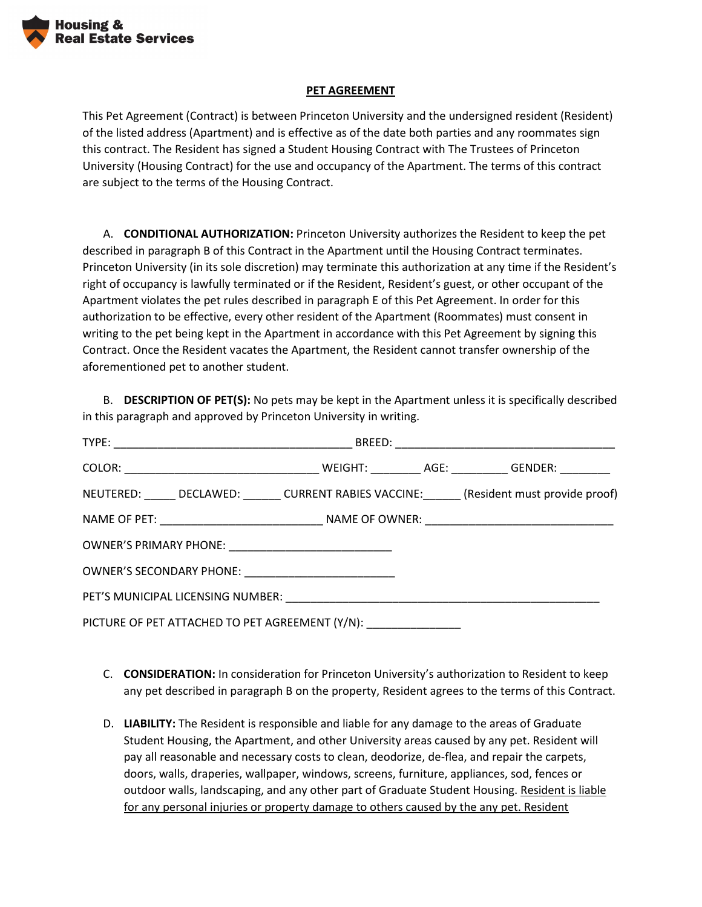

## **PET AGREEMENT**

This Pet Agreement (Contract) is between Princeton University and the undersigned resident (Resident) of the listed address (Apartment) and is effective as of the date both parties and any roommates sign this contract. The Resident has signed a Student Housing Contract with The Trustees of Princeton University (Housing Contract) for the use and occupancy of the Apartment. The terms of this contract are subject to the terms of the Housing Contract.

A. **CONDITIONAL AUTHORIZATION:** Princeton University authorizes the Resident to keep the pet described in paragraph B of this Contract in the Apartment until the Housing Contract terminates. Princeton University (in its sole discretion) may terminate this authorization at any time if the Resident's right of occupancy is lawfully terminated or if the Resident, Resident's guest, or other occupant of the Apartment violates the pet rules described in paragraph E of this Pet Agreement. In order for this authorization to be effective, every other resident of the Apartment (Roommates) must consent in writing to the pet being kept in the Apartment in accordance with this Pet Agreement by signing this Contract. Once the Resident vacates the Apartment, the Resident cannot transfer ownership of the aforementioned pet to another student.

B. **DESCRIPTION OF PET(S):** No pets may be kept in the Apartment unless it is specifically described in this paragraph and approved by Princeton University in writing.

| NEUTERED: DECLAWED: CURRENT RABIES VACCINE: (Resident must provide proof) |  |  |  |
|---------------------------------------------------------------------------|--|--|--|
|                                                                           |  |  |  |
| OWNER'S PRIMARY PHONE: _________________________________                  |  |  |  |
| OWNER'S SECONDARY PHONE: _____________________________                    |  |  |  |
|                                                                           |  |  |  |
| PICTURE OF PET ATTACHED TO PET AGREEMENT (Y/N): ____________________      |  |  |  |

- C. **CONSIDERATION:** In consideration for Princeton University's authorization to Resident to keep any pet described in paragraph B on the property, Resident agrees to the terms of this Contract.
- D. **LIABILITY:** The Resident is responsible and liable for any damage to the areas of Graduate Student Housing, the Apartment, and other University areas caused by any pet. Resident will pay all reasonable and necessary costs to clean, deodorize, de-flea, and repair the carpets, doors, walls, draperies, wallpaper, windows, screens, furniture, appliances, sod, fences or outdoor walls, landscaping, and any other part of Graduate Student Housing. Resident is liable for any personal injuries or property damage to others caused by the any pet. Resident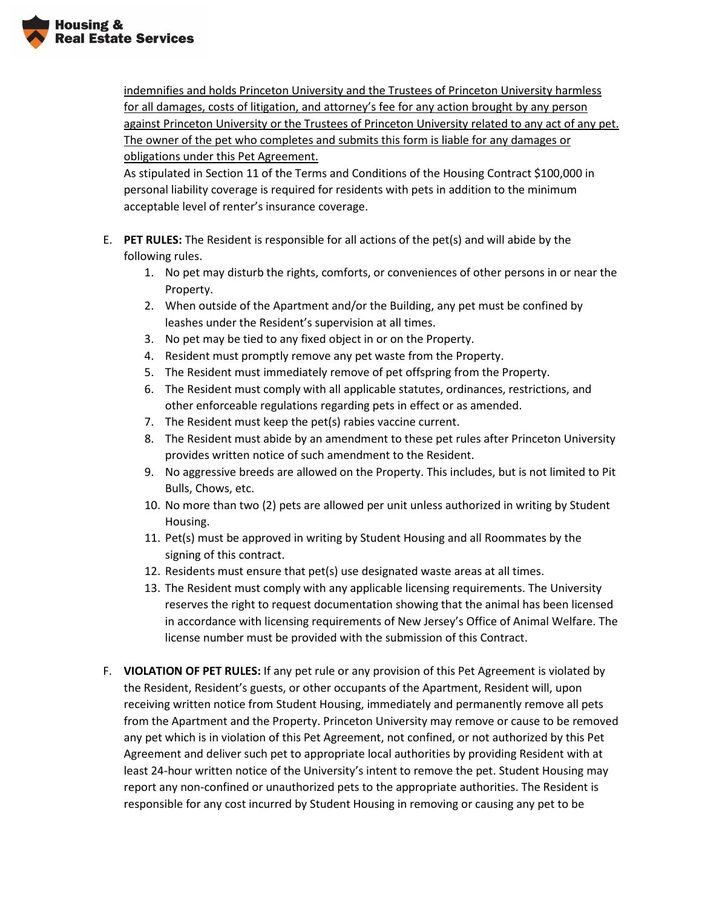

indemnifies and holds Princeton University and the Trustees of Princeton University harmless for all damages, costs of litigation, and attorney's fee for any action brought by any person against Princeton University or the Trustees of Princeton University related to any act of any pet. The owner of the pet who completes and submits this form is liable for any damages or obligations under this Pet Agreement.

As stipulated in Section 11 of the Terms and Conditions of the Housing Contract \$100,000 in personal liability coverage is required for residents with pets in addition to the minimum acceptable level of renter's insurance coverage.

- E. **PET RULES:** The Resident is responsible for all actions of the pet(s) and will abide by the following rules.
	- 1. No pet may disturb the rights, comforts, or conveniences of other persons in or near the Property.
	- 2. When outside of the Apartment and/or the Building, any pet must be confined by leashes under the Resident's supervision at all times.
	- 3. No pet may be tied to any fixed object in or on the Property.
	- 4. Resident must promptly remove any pet waste from the Property.
	- 5. The Resident must immediately remove of pet offspring from the Property.
	- 6. The Resident must comply with all applicable statutes, ordinances, restrictions, and other enforceable regulations regarding pets in effect or as amended.
	- 7. The Resident must keep the pet(s) rabies vaccine current.
	- 8. The Resident must abide by an amendment to these pet rules after Princeton University provides written notice of such amendment to the Resident.
	- 9. No aggressive breeds are allowed on the Property. This includes, but is not limited to Pit Bulls, Chows, etc.
	- 10. No more than two (2) pets are allowed per unit unless authorized in writing by Student Housing.
	- 11. Pet(s) must be approved in writing by Student Housing and all Roommates by the signing of this contract.
	- 12. Residents must ensure that pet(s) use designated waste areas at all times.
	- 13. The Resident must comply with any applicable licensing requirements. The University reserves the right to request documentation showing that the animal has been licensed in accordance with licensing requirements of New Jersey's Office of Animal Welfare. The license number must be provided with the submission of this Contract.
- F. **VIOLATION OF PET RULES:** If any pet rule or any provision of this Pet Agreement is violated by the Resident, Resident's guests, or other occupants of the Apartment, Resident will, upon receiving written notice from Student Housing, immediately and permanently remove all pets from the Apartment and the Property. Princeton University may remove or cause to be removed any pet which is in violation of this Pet Agreement, not confined, or not authorized by this Pet Agreement and deliver such pet to appropriate local authorities by providing Resident with at least 24-hour written notice of the University's intent to remove the pet. Student Housing may report any non-confined or unauthorized pets to the appropriate authorities. The Resident is responsible for any cost incurred by Student Housing in removing or causing any pet to be